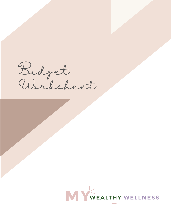Budget Worksheet



 $\overline{L}$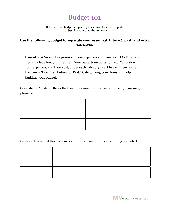## Budget 101

Below are two budget templates you can use. Pick the template that best fits your organization style

## **Use the following budget to separate your essential, future & past, and extra expenses.**

1. **Essential/Current expenses**. These expenses are items you HAVE to have. Items include food, utilities, rent/mortgage, transportation, etc. Write down your expenses, and their cost, under each category. Next to each item, write the words "Essential, Future, or Past." Categorizing your items will help in building your budget.

Consistent/Constant: Items that cost the same month-to-month (rent, insurance, phone, etc.)

Variable: Items that fluctuate in cost month-to-month (food, clothing, gas, etc.)

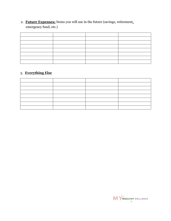2. **Future Expenses:** Items you will use in the future (savings, retirement, emergency fund, etc.)

## 3. **Everything Else**